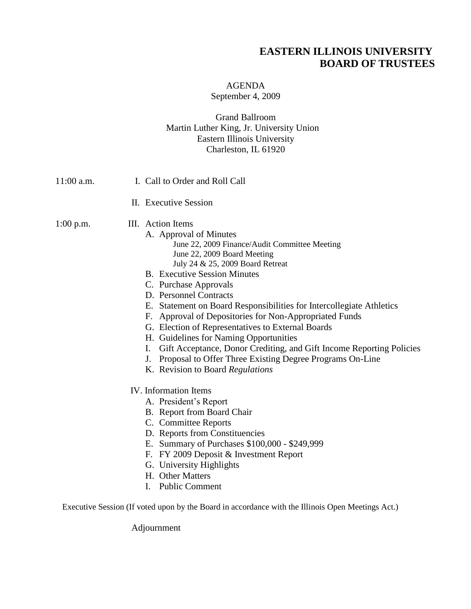## **EASTERN ILLINOIS UNIVERSITY BOARD OF TRUSTEES**

## AGENDA

September 4, 2009

## Grand Ballroom Martin Luther King, Jr. University Union Eastern Illinois University Charleston, IL 61920

Adjournment